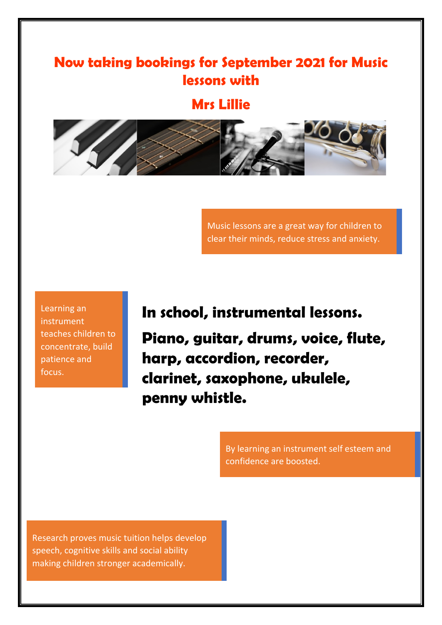## **Now taking bookings for September 2021 for Music lessons with**

**Mrs Lillie**



Music lessons are a great way for children to clear their minds, reduce stress and anxiety.

Learning an instrument teaches children to concentrate, build patience and focus.

**In school, instrumental lessons. Piano, guitar, drums, voice, flute, harp, accordion, recorder, clarinet, saxophone, ukulele, penny whistle.** 

> By learning an instrument self esteem and confidence are boosted.

Research proves music tuition helps develop speech, cognitive skills and social ability making children stronger academically.